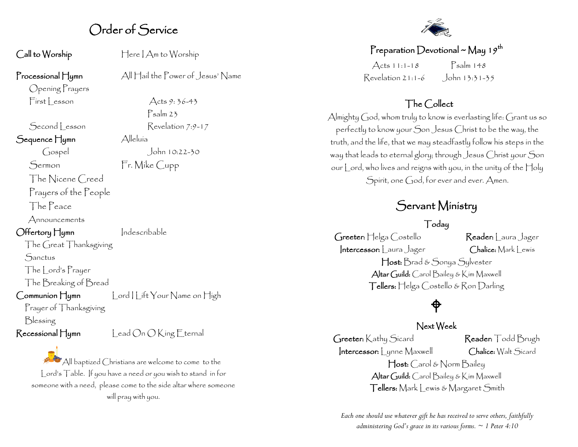# Order of Service

Call to Worship Here I Am to Worship

Psalm 23

#### Processional Hymn All Hail the Power of Jesus' Name

Opening Prayers  $First less on$  Acts 9: 36-43

Second Lesson Revelation 7:9-17 Sequence Hymn Alleluía Gospel John 10:22-30

Sermon Fr. Mike Cupp

The Nicene Creed Prayers of the People

The Peace

Announcements

Offertory Hymn Indescribable

The Great Thanksgiving **Sanctus** 

The Lord's Prayer

The Breaking of Bread

Communion Hymn Lord | lift Your Name on High

Prayer of Thanksgiving

Blessing



 $^{\bullet}$ All baptized Christians are welcome to come to the Lord's Table. If you have a need or you wish to stand in for someone with a need, please come to the side altar where someone will pray with you.



#### Preparation Devotional ~ May 19<sup>th</sup>

 $\text{Acts}$  11:1-18  $\text{Psalm}$  148 Revelation 21:1-6 John 13:31-35

### The Collect

Almighty  $\bigcap$  od, whom truly to know is everlasting life:  $\bigcap$  rant us so perfectly to know your Son Jesus Christ to be the way, the truth, and the life, that we may steadfastly follow his steps in the way that leads to eternal glory; through Jesus Christ your Son our Lord, who lives and reigns with you, in the unity of the Holy Spirit, one God, for ever and ever. Amen.

# Servant Ministry

#### Today

Greeter: Helga Costello Reader: Laura Jager Intercessor: Laura Jager Chalice: Mark Lewis Host: Brad & Sonya Sylvester Altar Guild: Carol Bailey & Kim Maxwell Tellers: Helga Costello & Ron Darling

# ⊕

#### Next Week

Greeter: Kathy Sicard Reader: Todd Brugh Intercessor: | ynne Maxwell Chalice: Walt Sicard Host: Carol & Norm Bailey Altar Guild: Carol Bailey & Kim Maxwell Tellers: Mark Lewis & Margaret Smith

*Each one should use whatever gift he has received to serve others, faithfully administering God's grace in its various forms. ~ 1 Peter 4:10*